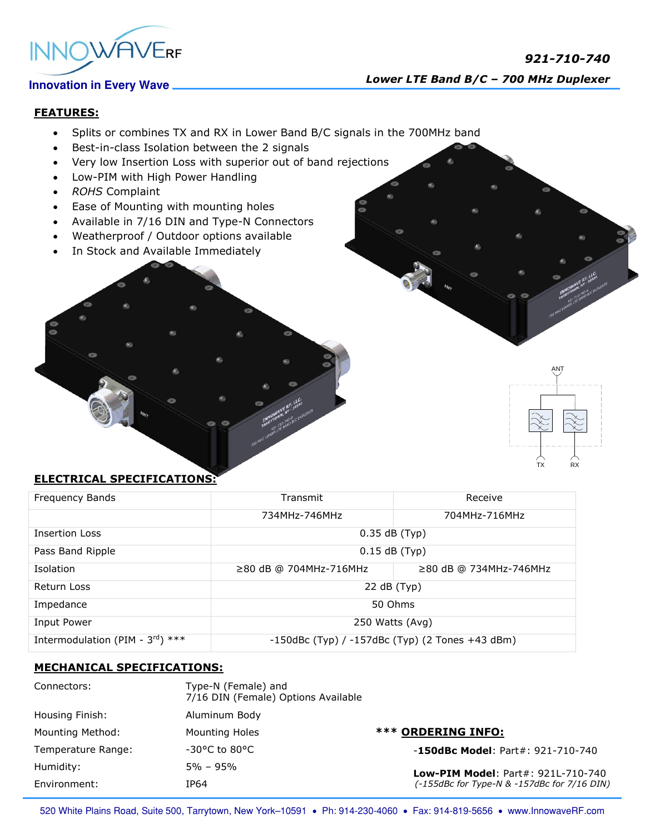

## **FEATURES:**

- Splits or combines TX and RX in Lower Band B/C signals in the 700MHz band
- Best-in-class Isolation between the 2 signals
- Very low Insertion Loss with superior out of band rejections
- Low-PIM with High Power Handling
- *ROHS* Complaint
- Ease of Mounting with mounting holes
- Available in 7/16 DIN and Type-N Connectors
- Weatherproof / Outdoor options available
- In Stock and Available Immediately

# TX RX

ANT

## **ELECTRICAL SPECIFICATIONS:**

| Frequency Bands                              | Transmit                                              | Receive                      |
|----------------------------------------------|-------------------------------------------------------|------------------------------|
|                                              | 734MHz-746MHz                                         | 704MHz-716MHz                |
| <b>Insertion Loss</b>                        | $0.35$ dB (Typ)                                       |                              |
| Pass Band Ripple                             | $0.15$ dB (Typ)                                       |                              |
| Isolation                                    | $\geq$ 80 dB @ 704MHz-716MHz                          | $\geq$ 80 dB @ 734MHz-746MHz |
| Return Loss                                  | 22 dB (Typ)                                           |                              |
| Impedance                                    | 50 Ohms                                               |                              |
| Input Power                                  | 250 Watts (Avg)                                       |                              |
| Intermodulation (PIM - $3^{\text{rd}}$ ) *** | $-150$ dBc (Typ) / $-157$ dBc (Typ) (2 Tones +43 dBm) |                              |

## **MECHANICAL SPECIFICATIONS:**

| Connectors:        | Type-N (Female) and<br>7/16 DIN (Female) Options Available |                                                                                          |
|--------------------|------------------------------------------------------------|------------------------------------------------------------------------------------------|
| Housing Finish:    | Aluminum Body                                              |                                                                                          |
| Mounting Method:   | Mounting Holes                                             | <b>*** ORDERING INFO:</b>                                                                |
| Temperature Range: | $-30^{\circ}$ C to 80 $^{\circ}$ C                         | $-150$ dBc Model: Part#: 921-710-740                                                     |
| Humidity:          | $5\% - 95\%$                                               | <b>Low-PIM Model: Part#: 921L-710-740</b><br>(-155dBc for Type-N & -157dBc for 7/16 DIN) |
| Environment:       | IP64                                                       |                                                                                          |

520 White Plains Road, Suite 500, Tarrytown, New York-10591 . Ph: 914-230-4060 . Fax: 914-819-5656 . www.InnowaveRF.com